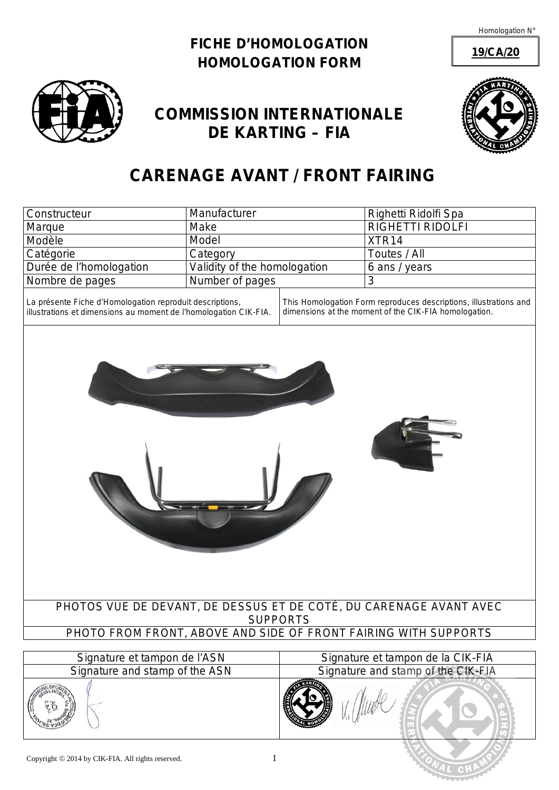Homologation N°

### **FICHE D'HOMOLOGATION** *HOMOLOGATION FORM*



## **COMMISSION INTERNATIONALE DE KARTING – FIA**



**19/CA/20**

# **CARENAGE AVANT** */ FRONT FAIRING*

| <b>Constructeur</b>     | Manufacturer                 | Righetti Ridolfi Spa    |
|-------------------------|------------------------------|-------------------------|
| Marque                  | Make                         | <b>RIGHETTI RIDOLFI</b> |
| Modèle                  | Model                        | XTR <sub>14</sub>       |
| Catégorie               | Category                     | Toutes / All            |
| Durée de l'homologation | Validity of the homologation | 6 ans / years           |
| Nombre de pages         | Number of pages              |                         |

La présente Fiche d'Homologation reproduit descriptions, illustrations et dimensions au moment de l'homologation CIK-FIA.

*This Homologation Form reproduces descriptions, illustrations and dimensions at the moment of the CIK-FIA homologation.* 

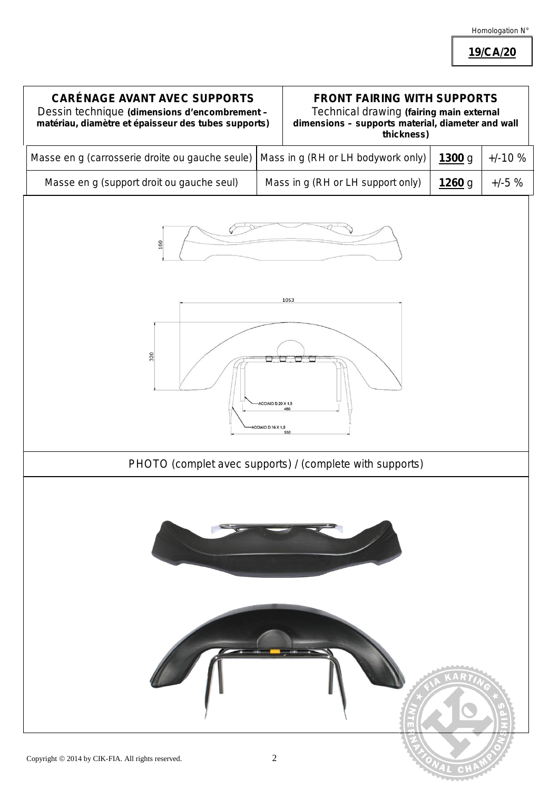### Homologation N°

**19/CA/20**